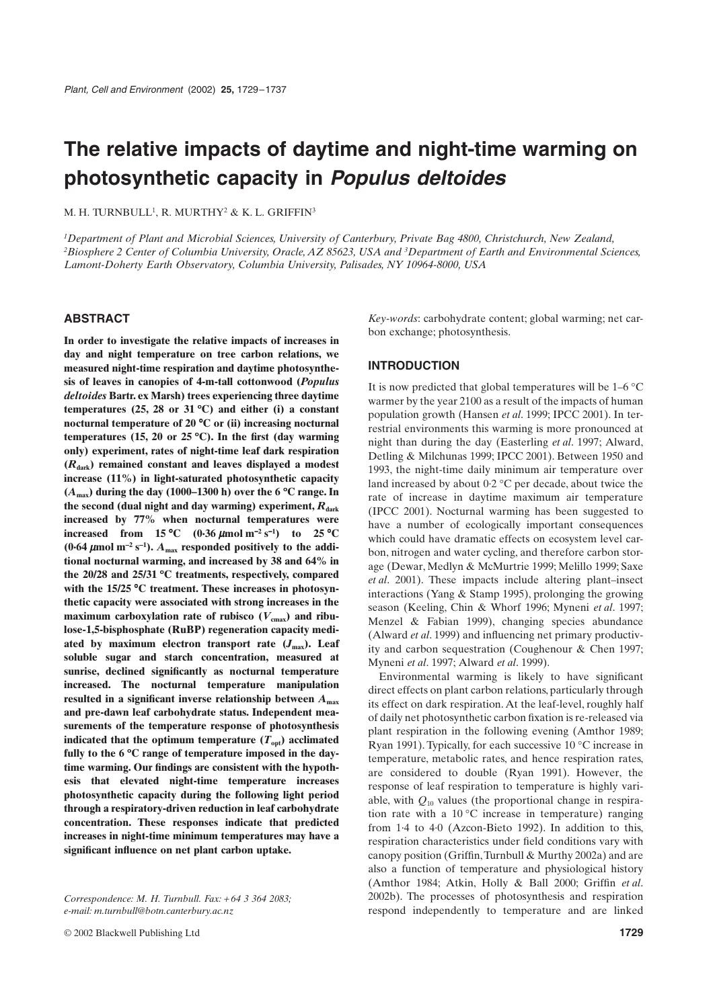# **The relative impacts of daytime and night-time warming on photosynthetic capacity in** *Populus deltoides*

M. H. TURNBULL<sup>1</sup>, R. MURTHY<sup>2</sup> & K. L. GRIFFIN<sup>3</sup>

*1Department of Plant and Microbial Sciences, University of Canterbury, Private Bag 4800, Christchurch, New Zealand, 2Biosphere 2 Center of Columbia University, Oracle, AZ 85623, USA and 3Department of Earth and Environmental Sciences, Lamont-Doherty Earth Observatory, Columbia University, Palisades, NY 10964-8000, USA*

# **ABSTRACT**

**In order to investigate the relative impacts of increases in day and night temperature on tree carbon relations, we measured night-time respiration and daytime photosynthesis of leaves in canopies of 4-m-tall cottonwood (***Populus deltoides* **Bartr. ex Marsh) trees experiencing three daytime temperatures (25, 28 or 31**  ∞**C) and either (i) a constant nocturnal temperature of 20**  ∞**C or (ii) increasing nocturnal temperatures (15, 20 or 25**  ∞**C). In the first (day warming only) experiment, rates of night-time leaf dark respiration (***R***dark) remained constant and leaves displayed a modest increase (11%) in light-saturated photosynthetic capacity (***A***max) during the day (1000–1300 h) over the 6**  ∞**C range. In** the second (dual night and day warming) experiment,  $R_{dark}$ **increased by 77% when nocturnal temperatures were increased from 15 °C**  $(0.36 \mu \text{mol m}^{-2} \text{ s}^{-1})$  to 25 °C (0.64  $\mu$ mol m<sup>-2</sup> s<sup>-1</sup>).  $A_{\text{max}}$  responded positively to the addi**tional nocturnal warming, and increased by 38 and 64% in the 20/28 and 25/31**  ∞**C treatments, respectively, compared with the 15/25**  ∞**C treatment. These increases in photosynthetic capacity were associated with strong increases in the** maximum carboxylation rate of rubisco  $(V_{\text{cmax}})$  and ribu**lose-1,5-bisphosphate (RuBP) regeneration capacity medi**ated by maximum electron transport rate  $(J_{\text{max}})$ . Leaf **soluble sugar and starch concentration, measured at sunrise, declined significantly as nocturnal temperature increased. The nocturnal temperature manipulation resulted in a significant inverse relationship between** *A***max and pre-dawn leaf carbohydrate status. Independent measurements of the temperature response of photosynthesis indicated that the optimum temperature**  $(T<sub>opt</sub>)$  **acclimated fully to the 6**  ∞**C range of temperature imposed in the daytime warming. Our findings are consistent with the hypothesis that elevated night-time temperature increases photosynthetic capacity during the following light period through a respiratory-driven reduction in leaf carbohydrate concentration. These responses indicate that predicted increases in night-time minimum temperatures may have a significant influence on net plant carbon uptake.**

*Correspondence: M. H. Turnbull. Fax:* + *64 3 364 2083; e-mail: m.turnbull@botn.canterbury.ac.nz*

*Key-words*: carbohydrate content; global warming; net carbon exchange; photosynthesis.

# **INTRODUCTION**

It is now predicted that global temperatures will be  $1-6\degree\text{C}$ warmer by the year 2100 as a result of the impacts of human population growth (Hansen *et al*. 1999; IPCC 2001). In terrestrial environments this warming is more pronounced at night than during the day (Easterling *et al*. 1997; Alward, Detling & Milchunas 1999; IPCC 2001). Between 1950 and 1993, the night-time daily minimum air temperature over land increased by about  $0.2 \text{ °C}$  per decade, about twice the rate of increase in daytime maximum air temperature (IPCC 2001). Nocturnal warming has been suggested to have a number of ecologically important consequences which could have dramatic effects on ecosystem level carbon, nitrogen and water cycling, and therefore carbon storage (Dewar, Medlyn & McMurtrie 1999; Melillo 1999; Saxe *et al*. 2001). These impacts include altering plant–insect interactions (Yang & Stamp 1995), prolonging the growing season (Keeling, Chin & Whorf 1996; Myneni *et al*. 1997; Menzel & Fabian 1999), changing species abundance (Alward *et al*. 1999) and influencing net primary productivity and carbon sequestration (Coughenour & Chen 1997; Myneni *et al*. 1997; Alward *et al*. 1999).

Environmental warming is likely to have significant direct effects on plant carbon relations, particularly through its effect on dark respiration. At the leaf-level, roughly half of daily net photosynthetic carbon fixation is re-released via plant respiration in the following evening (Amthor 1989; Ryan 1991). Typically, for each successive 10 ∞C increase in temperature, metabolic rates, and hence respiration rates, are considered to double (Ryan 1991). However, the response of leaf respiration to temperature is highly variable, with  $Q_{10}$  values (the proportional change in respiration rate with a  $10\,^{\circ}\text{C}$  increase in temperature) ranging from 1·4 to 4·0 (Azcon-Bieto 1992). In addition to this, respiration characteristics under field conditions vary with canopy position (Griffin, Turnbull & Murthy 2002a) and are also a function of temperature and physiological history (Amthor 1984; Atkin, Holly & Ball 2000; Griffin *et al*. 2002b). The processes of photosynthesis and respiration respond independently to temperature and are linked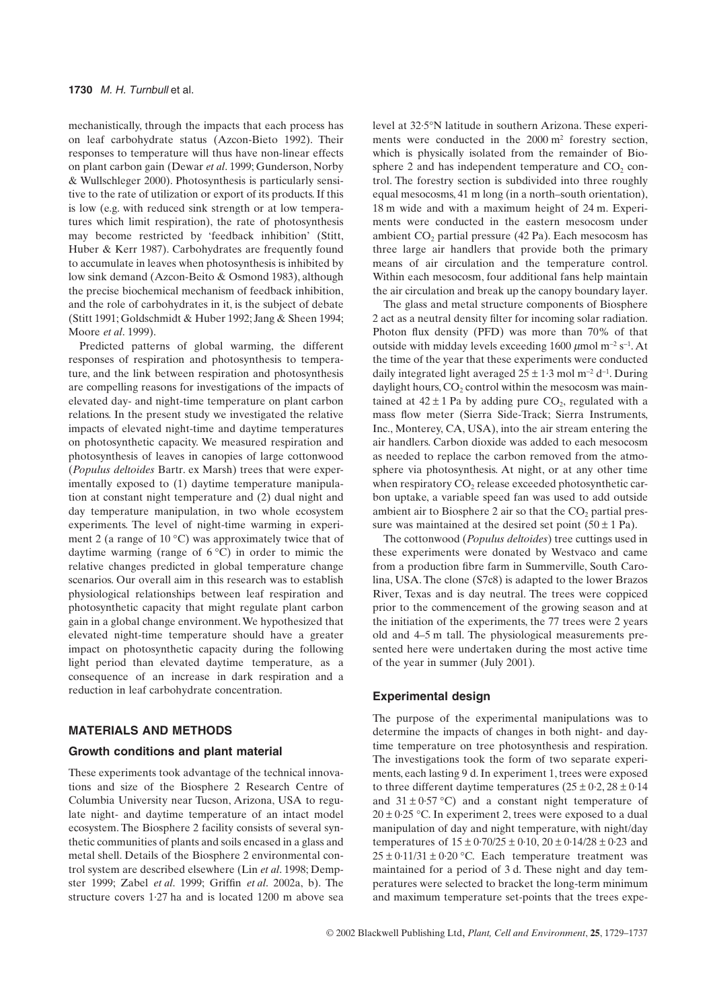mechanistically, through the impacts that each process has on leaf carbohydrate status (Azcon-Bieto 1992). Their responses to temperature will thus have non-linear effects on plant carbon gain (Dewar *et al*. 1999; Gunderson, Norby & Wullschleger 2000). Photosynthesis is particularly sensitive to the rate of utilization or export of its products. If this is low (e.g. with reduced sink strength or at low temperatures which limit respiration), the rate of photosynthesis may become restricted by 'feedback inhibition' (Stitt, Huber & Kerr 1987). Carbohydrates are frequently found to accumulate in leaves when photosynthesis is inhibited by low sink demand (Azcon-Beito & Osmond 1983), although the precise biochemical mechanism of feedback inhibition, and the role of carbohydrates in it, is the subject of debate (Stitt 1991; Goldschmidt & Huber 1992; Jang & Sheen 1994; Moore *et al*. 1999).

Predicted patterns of global warming, the different responses of respiration and photosynthesis to temperature, and the link between respiration and photosynthesis are compelling reasons for investigations of the impacts of elevated day- and night-time temperature on plant carbon relations. In the present study we investigated the relative impacts of elevated night-time and daytime temperatures on photosynthetic capacity. We measured respiration and photosynthesis of leaves in canopies of large cottonwood (*Populus deltoides* Bartr. ex Marsh) trees that were experimentally exposed to (1) daytime temperature manipulation at constant night temperature and (2) dual night and day temperature manipulation, in two whole ecosystem experiments. The level of night-time warming in experiment 2 (a range of  $10^{\circ}$ C) was approximately twice that of daytime warming (range of  $6^{\circ}$ C) in order to mimic the relative changes predicted in global temperature change scenarios. Our overall aim in this research was to establish physiological relationships between leaf respiration and photosynthetic capacity that might regulate plant carbon gain in a global change environment. We hypothesized that elevated night-time temperature should have a greater impact on photosynthetic capacity during the following light period than elevated daytime temperature, as a consequence of an increase in dark respiration and a reduction in leaf carbohydrate concentration.

# **MATERIALS AND METHODS**

## **Growth conditions and plant material**

These experiments took advantage of the technical innovations and size of the Biosphere 2 Research Centre of Columbia University near Tucson, Arizona, USA to regulate night- and daytime temperature of an intact model ecosystem. The Biosphere 2 facility consists of several synthetic communities of plants and soils encased in a glass and metal shell. Details of the Biosphere 2 environmental control system are described elsewhere (Lin *et al*. 1998; Dempster 1999; Zabel *et al*. 1999; Griffin *et al*. 2002a, b). The structure covers 1·27 ha and is located 1200 m above sea level at 32·5∞N latitude in southern Arizona. These experiments were conducted in the 2000 m<sup>2</sup> forestry section, which is physically isolated from the remainder of Biosphere 2 and has independent temperature and  $CO<sub>2</sub>$  control. The forestry section is subdivided into three roughly equal mesocosms, 41 m long (in a north–south orientation), 18 m wide and with a maximum height of 24 m. Experiments were conducted in the eastern mesocosm under ambient  $CO<sub>2</sub>$  partial pressure (42 Pa). Each mesocosm has three large air handlers that provide both the primary means of air circulation and the temperature control. Within each mesocosm, four additional fans help maintain the air circulation and break up the canopy boundary layer.

The glass and metal structure components of Biosphere 2 act as a neutral density filter for incoming solar radiation. Photon flux density (PFD) was more than 70% of that outside with midday levels exceeding 1600  $\mu$ mol m<sup>-2</sup> s<sup>-1</sup>. At the time of the year that these experiments were conducted daily integrated light averaged  $25 \pm 1.3$  mol m<sup>-2</sup> d<sup>-1</sup>. During daylight hours,  $CO<sub>2</sub>$  control within the mesocosm was maintained at  $42 \pm 1$  Pa by adding pure CO<sub>2</sub>, regulated with a mass flow meter (Sierra Side-Track; Sierra Instruments, Inc., Monterey, CA, USA), into the air stream entering the air handlers. Carbon dioxide was added to each mesocosm as needed to replace the carbon removed from the atmosphere via photosynthesis. At night, or at any other time when respiratory  $CO<sub>2</sub>$  release exceeded photosynthetic carbon uptake, a variable speed fan was used to add outside ambient air to Biosphere 2 air so that the  $CO<sub>2</sub>$  partial pressure was maintained at the desired set point  $(50 \pm 1 \text{ Pa})$ .

The cottonwood (*Populus deltoides*) tree cuttings used in these experiments were donated by Westvaco and came from a production fibre farm in Summerville, South Carolina, USA. The clone (S7c8) is adapted to the lower Brazos River, Texas and is day neutral. The trees were coppiced prior to the commencement of the growing season and at the initiation of the experiments, the 77 trees were 2 years old and 4–5 m tall. The physiological measurements presented here were undertaken during the most active time of the year in summer (July 2001).

## **Experimental design**

The purpose of the experimental manipulations was to determine the impacts of changes in both night- and daytime temperature on tree photosynthesis and respiration. The investigations took the form of two separate experiments, each lasting 9 d. In experiment 1, trees were exposed to three different daytime temperatures  $(25 \pm 0.2, 28 \pm 0.14)$ and  $31 \pm 0.57$  °C) and a constant night temperature of  $20 \pm 0.25$  °C. In experiment 2, trees were exposed to a dual manipulation of day and night temperature, with night/day temperatures of  $15 \pm 0.70/25 \pm 0.10$ ,  $20 \pm 0.14/28 \pm 0.23$  and  $25 \pm 0.11/31 \pm 0.20$  °C. Each temperature treatment was maintained for a period of 3 d. These night and day temperatures were selected to bracket the long-term minimum and maximum temperature set-points that the trees expe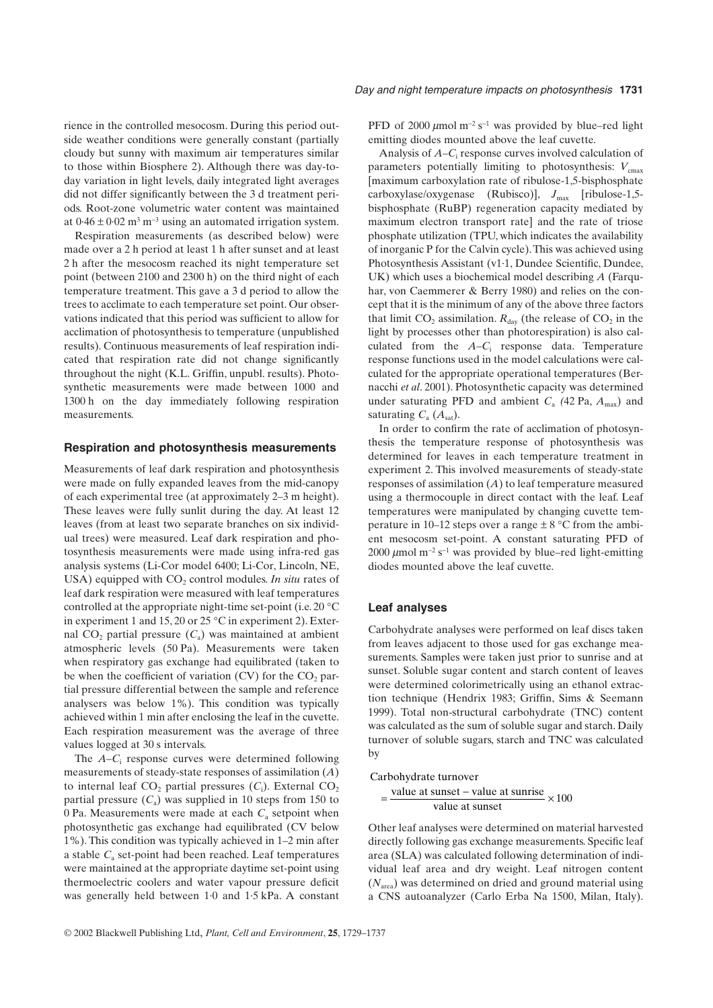rience in the controlled mesocosm. During this period outside weather conditions were generally constant (partially cloudy but sunny with maximum air temperatures similar to those within Biosphere 2). Although there was day-today variation in light levels, daily integrated light averages did not differ significantly between the 3 d treatment periods. Root-zone volumetric water content was maintained at  $0.46 \pm 0.02$  m<sup>3</sup> m<sup>-3</sup> using an automated irrigation system.

Respiration measurements (as described below) were made over a 2 h period at least 1 h after sunset and at least 2 h after the mesocosm reached its night temperature set point (between 2100 and 2300 h) on the third night of each temperature treatment. This gave a 3 d period to allow the trees to acclimate to each temperature set point. Our observations indicated that this period was sufficient to allow for acclimation of photosynthesis to temperature (unpublished results). Continuous measurements of leaf respiration indicated that respiration rate did not change significantly throughout the night (K.L. Griffin, unpubl. results). Photosynthetic measurements were made between 1000 and 1300 h on the day immediately following respiration measurements.

#### **Respiration and photosynthesis measurements**

Measurements of leaf dark respiration and photosynthesis were made on fully expanded leaves from the mid-canopy of each experimental tree (at approximately 2–3 m height). These leaves were fully sunlit during the day. At least 12 leaves (from at least two separate branches on six individual trees) were measured. Leaf dark respiration and photosynthesis measurements were made using infra-red gas analysis systems (Li-Cor model 6400; Li-Cor, Lincoln, NE, USA) equipped with CO<sub>2</sub> control modules. *In situ* rates of leaf dark respiration were measured with leaf temperatures controlled at the appropriate night-time set-point (i.e. 20 ∞C in experiment 1 and 15, 20 or 25 ∞C in experiment 2). External  $CO<sub>2</sub>$  partial pressure  $(C<sub>a</sub>)$  was maintained at ambient atmospheric levels (50 Pa). Measurements were taken when respiratory gas exchange had equilibrated (taken to be when the coefficient of variation  $(CV)$  for the  $CO<sub>2</sub>$  partial pressure differential between the sample and reference analysers was below 1%). This condition was typically achieved within 1 min after enclosing the leaf in the cuvette. Each respiration measurement was the average of three values logged at 30 s intervals.

The *A*–*C*<sup>i</sup> response curves were determined following measurements of steady-state responses of assimilation (*A*) to internal leaf  $CO_2$  partial pressures  $(C_i)$ . External  $CO_2$ partial pressure  $(C_a)$  was supplied in 10 steps from 150 to 0 Pa. Measurements were made at each  $C_a$  setpoint when photosynthetic gas exchange had equilibrated (CV below 1%). This condition was typically achieved in 1–2 min after a stable  $C_a$  set-point had been reached. Leaf temperatures were maintained at the appropriate daytime set-point using thermoelectric coolers and water vapour pressure deficit was generally held between 1·0 and 1·5 kPa. A constant PFD of 2000  $\mu$ mol m<sup>-2</sup> s<sup>-1</sup> was provided by blue–red light emitting diodes mounted above the leaf cuvette.

Analysis of *A*–*C*<sup>i</sup> response curves involved calculation of parameters potentially limiting to photosynthesis:  $V_{\text{cmax}}$ [maximum carboxylation rate of ribulose-1,5-bisphosphate carboxylase/oxygenase (Rubisco)],  $J_{\text{max}}$  [ribulose-1,5bisphosphate (RuBP) regeneration capacity mediated by maximum electron transport rate] and the rate of triose phosphate utilization (TPU, which indicates the availability of inorganic P for the Calvin cycle). This was achieved using Photosynthesis Assistant (v1·1, Dundee Scientific, Dundee, UK) which uses a biochemical model describing *A* (Farquhar, von Caemmerer & Berry 1980) and relies on the concept that it is the minimum of any of the above three factors that limit  $CO_2$  assimilation.  $R_{\text{dav}}$  (the release of  $CO_2$  in the light by processes other than photorespiration) is also calculated from the *A*–*C*<sup>i</sup> response data. Temperature response functions used in the model calculations were calculated for the appropriate operational temperatures (Bernacchi *et al*. 2001). Photosynthetic capacity was determined under saturating PFD and ambient  $C_a$  (42 Pa,  $A_{\text{max}}$ ) and saturating  $C_a$  ( $A_{sat}$ ).

In order to confirm the rate of acclimation of photosynthesis the temperature response of photosynthesis was determined for leaves in each temperature treatment in experiment 2. This involved measurements of steady-state responses of assimilation (*A*) to leaf temperature measured using a thermocouple in direct contact with the leaf. Leaf temperatures were manipulated by changing cuvette temperature in 10–12 steps over a range  $\pm 8$  °C from the ambient mesocosm set-point. A constant saturating PFD of 2000  $\mu$ mol m<sup>-2</sup> s<sup>-1</sup> was provided by blue–red light-emitting diodes mounted above the leaf cuvette.

## **Leaf analyses**

Carbohydrate analyses were performed on leaf discs taken from leaves adjacent to those used for gas exchange measurements. Samples were taken just prior to sunrise and at sunset. Soluble sugar content and starch content of leaves were determined colorimetrically using an ethanol extraction technique (Hendrix 1983; Griffin, Sims & Seemann 1999). Total non-structural carbohydrate (TNC) content was calculated as the sum of soluble sugar and starch. Daily turnover of soluble sugars, starch and TNC was calculated by

#### Carbohydrate turnover

$$
= \frac{\text{value at sunset} - \text{value at sunrise}}{\text{value at sunset}} \times 100
$$

Other leaf analyses were determined on material harvested directly following gas exchange measurements. Specific leaf area (SLA) was calculated following determination of individual leaf area and dry weight. Leaf nitrogen content (*N*area) was determined on dried and ground material using a CNS autoanalyzer (Carlo Erba Na 1500, Milan, Italy).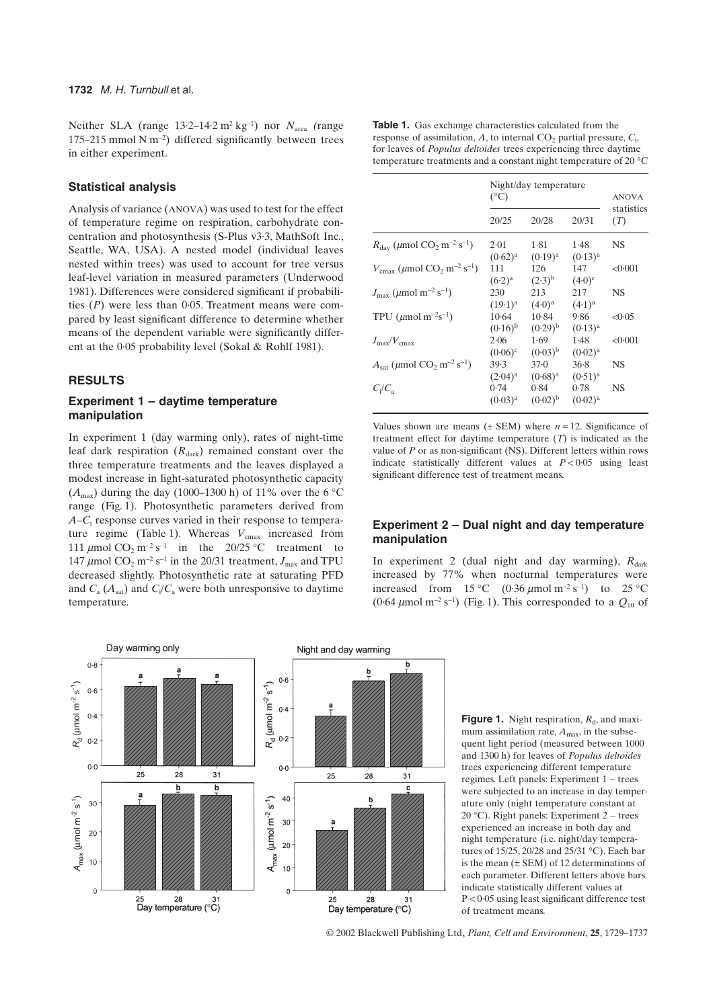Neither SLA (range  $13.2-14.2 \text{ m}^2 \text{ kg}^{-1}$ ) nor  $N_{\text{area}}$  (range 175–215 mmol N  $m^{-2}$ ) differed significantly between trees in either experiment.

# **Statistical analysis**

Analysis of variance (ANOVA) was used to test for the effect of temperature regime on respiration, carbohydrate concentration and photosynthesis (S-Plus v3·3, MathSoft Inc., Seattle, WA, USA). A nested model (individual leaves nested within trees) was used to account for tree versus leaf-level variation in measured parameters (Underwood 1981). Differences were considered significant if probabilities (*P*) were less than 0·05. Treatment means were compared by least significant difference to determine whether means of the dependent variable were significantly different at the 0·05 probability level (Sokal & Rohlf 1981).

# **RESULTS**

# **Experiment 1 – daytime temperature manipulation**

In experiment 1 (day warming only), rates of night-time leaf dark respiration  $(R<sub>dark</sub>)$  remained constant over the three temperature treatments and the leaves displayed a modest increase in light-saturated photosynthetic capacity  $(A<sub>max</sub>)$  during the day (1000–1300 h) of 11% over the 6 °C range (Fig. 1). Photosynthetic parameters derived from *A*–*C*<sup>i</sup> response curves varied in their response to temperature regime (Table 1). Whereas  $V_{\text{cmax}}$  increased from 111  $\mu$ mol CO<sub>2</sub> m<sup>-2</sup> s<sup>-1</sup> in the 20/25 °C treatment to 147  $\mu$ mol CO<sub>2</sub> m<sup>-2</sup> s<sup>-1</sup> in the 20/31 treatment,  $J_{\text{max}}$  and TPU decreased slightly. Photosynthetic rate at saturating PFD and  $C_{\rm a}$  ( $A_{\rm sat}$ ) and  $C_{\rm i}/C_{\rm a}$  were both unresponsive to daytime temperature.

**Table 1.** Gas exchange characteristics calculated from the response of assimilation,  $A$ , to internal  $CO_2$  partial pressure,  $C_i$ , for leaves of *Populus deltoides* trees experiencing three daytime temperature treatments and a constant night temperature of 20 ℃

|                                                                                | Night/day temperature<br>$(^{\circ}C)$ |                         |                      | <b>ANOVA</b>      |
|--------------------------------------------------------------------------------|----------------------------------------|-------------------------|----------------------|-------------------|
|                                                                                | 20/25                                  | 20/28                   | 20/31                | statistics<br>(T) |
| $R_{\text{dav}}$ ( $\mu$ mol CO <sub>2</sub> m <sup>-2</sup> s <sup>-1</sup> ) | 2.01<br>$(0.62)^{a}$                   | 1.81<br>$(0.19)^{a}$    | 1.48<br>$(0.13)^{a}$ | <b>NS</b>         |
| $V_{\text{cmax}}$ (µmol CO <sub>2</sub> m <sup>-2</sup> s <sup>-1</sup> )      | 111<br>$(6.2)^{a}$                     | 126<br>$(2.3)^{b}$      | 147<br>$(4.0)^c$     | < 0.001           |
| $J_{\text{max}}$ (µmol m <sup>-2</sup> s <sup>-1</sup> )                       | 230<br>$(19.1)^{a}$                    | 213<br>$(4.0)^a$        | 217<br>$(4.1)^{a}$   | <b>NS</b>         |
| TPU ( $\mu$ mol m <sup>-2</sup> s <sup>-1</sup> )                              | $10-64$<br>$(0.16)^{b}$                | $10-84$<br>$(0.29)^{b}$ | 9.86<br>$(0.13)^a$   | < 0.05            |
| $J_{\rm max}/V_{\rm cmax}$                                                     | 2.06<br>$(0.06)^c$                     | 1.69<br>$(0.03)^{b}$    | 1.48<br>$(0.02)^a$   | < 0.001           |
| $A_{\text{sat}}$ (µmol CO <sub>2</sub> m <sup>-2</sup> s <sup>-1</sup> )       | 39.3<br>$(2.04)^{a}$                   | $37-0$<br>$(0.68)^{a}$  | 36.8<br>$(0.51)^{a}$ | <b>NS</b>         |
| $C_i/C_a$                                                                      | 0.74<br>$(0.03)^{a}$                   | 0.84<br>$(0.02)^{b}$    | 0.78<br>$(0.02)^a$   | <b>NS</b>         |

Values shown are means  $(\pm$  SEM) where  $n = 12$ . Significance of treatment effect for daytime temperature (*T*) is indicated as the value of *P* or as non-significant (NS). Different letters within rows indicate statistically different values at  $P < 0.05$  using least significant difference test of treatment means.

# **Experiment 2 – Dual night and day temperature manipulation**

In experiment 2 (dual night and day warming),  $R_{dark}$ increased by 77% when nocturnal temperatures were increased from  $15^{\circ}$ C (0.36  $\mu$ mol m<sup>-2</sup> s<sup>-1</sup>) to 25 °C  $(0.64 \,\mu\text{mol m}^{-2} \text{ s}^{-1})$  (Fig. 1). This corresponded to a  $Q_{10}$  of



**Figure 1.** Night respiration,  $R_d$ , and maximum assimilation rate,  $A_{\text{max}}$ , in the subsequent light period (measured between 1000 and 1300 h) for leaves of *Populus deltoides* trees experiencing different temperature regimes. Left panels: Experiment 1 – trees were subjected to an increase in day temperature only (night temperature constant at 20 ∞C). Right panels: Experiment 2 – trees experienced an increase in both day and night temperature (i.e. night/day temperatures of 15/25, 20/28 and 25/31 ∞C). Each bar is the mean  $(\pm$  SEM) of 12 determinations of each parameter. Different letters above bars indicate statistically different values at P < 0·05 using least significant difference test of treatment means.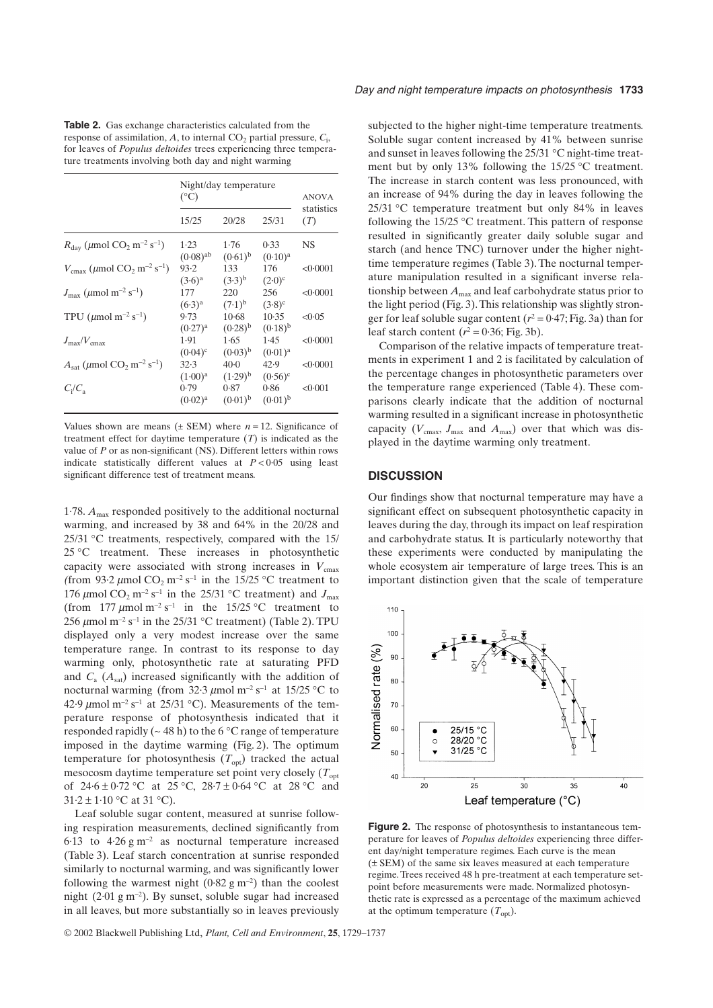**Table 2.** Gas exchange characteristics calculated from the response of assimilation,  $A$ , to internal  $CO_2$  partial pressure,  $C_i$ , for leaves of *Populus deltoides* trees experiencing three temperature treatments involving both day and night warming

|                                                                                 | Night/day temperature<br>$(^{\circ}C)$ |                         |                             | <b>ANOVA</b>      |
|---------------------------------------------------------------------------------|----------------------------------------|-------------------------|-----------------------------|-------------------|
|                                                                                 | 15/25                                  | 20/28                   | 25/31                       | statistics<br>(T) |
| $R_{\text{dav}}$ (µmol CO <sub>2</sub> m <sup>-2</sup> s <sup>-1</sup> )        | $1-23$<br>$(0.08)$ <sup>ab</sup>       | 1.76<br>$(0.61)^{b}$    | 0.33<br>$(0.10)^a$          | <b>NS</b>         |
| $V_{\text{cmax}}$ ( $\mu$ mol CO <sub>2</sub> m <sup>-2</sup> s <sup>-1</sup> ) | 93.2<br>$(3.6)^a$                      | 133<br>$(3.3)^{b}$      | 176<br>$(2.0)$ <sup>c</sup> | <0.0001           |
| $J_{\text{max}}$ (µmol m <sup>-2</sup> s <sup>-1</sup> )                        | 177<br>$(6.3)^{a}$                     | 220<br>$(7.1)^{b}$      | 256<br>$(3.8)^c$            | <0.0001           |
| TPU ( $\mu$ mol m <sup>-2</sup> s <sup>-1</sup> )                               | 9.73<br>$(0.27)^{a}$                   | $10-68$<br>$(0.28)^{b}$ | 10.35<br>$(0.18)^{b}$       | <0.05             |
| $J_{\text{max}}/V_{\text{cmax}}$                                                | 1.91<br>$(0.04)^c$                     | 1.65<br>$(0.03)^{b}$    | 1.45<br>$(0.01)^a$          | <0.0001           |
| $A_{\rm sat}$ (µmol CO <sub>2</sub> m <sup>-2</sup> s <sup>-1</sup> )           | 32.3<br>$(1.00)^{a}$                   | $40-0$<br>$(1.29)^{b}$  | 42.9<br>$(0.56)^c$          | <0.0001           |
| $C_i/C_a$                                                                       | 0.79<br>$(0.02)^{a}$                   | 0.87<br>$(0.01)^{b}$    | 0.86<br>$(0.01)^{b}$        | < 0.001           |

Values shown are means  $(\pm$  SEM) where  $n = 12$ . Significance of treatment effect for daytime temperature (*T*) is indicated as the value of *P* or as non-significant (NS). Different letters within rows indicate statistically different values at  $P < 0.05$  using least significant difference test of treatment means.

1.78.  $A_{\text{max}}$  responded positively to the additional nocturnal warming, and increased by 38 and 64% in the 20/28 and 25/31 ∞C treatments, respectively, compared with the 15/ 25 °C treatment. These increases in photosynthetic capacity were associated with strong increases in  $V_{\text{cmax}}$ (from 93·2  $\mu$ mol CO<sub>2</sub> m<sup>-2</sup> s<sup>-1</sup> in the 15/25 °C treatment to 176  $\mu$ mol CO<sub>2</sub> m<sup>-2</sup> s<sup>-1</sup> in the 25/31 °C treatment) and  $J_{\text{max}}$ (from 177  $\mu$ mol m<sup>-2</sup> s<sup>-1</sup> in the 15/25 °C treatment to 256  $\mu$ mol m<sup>-2</sup> s<sup>-1</sup> in the 25/31 °C treatment) (Table 2). TPU displayed only a very modest increase over the same temperature range. In contrast to its response to day warming only, photosynthetic rate at saturating PFD and  $C_a$  ( $A_{sat}$ ) increased significantly with the addition of nocturnal warming (from 32.3  $\mu$ mol m<sup>-2</sup> s<sup>-1</sup> at 15/25 °C to 42.9  $\mu$ mol m<sup>-2</sup> s<sup>-1</sup> at 25/31 °C). Measurements of the temperature response of photosynthesis indicated that it responded rapidly ( $\sim$  48 h) to the 6 °C range of temperature imposed in the daytime warming (Fig. 2). The optimum temperature for photosynthesis  $(T_{opt})$  tracked the actual mesocosm daytime temperature set point very closely (*T*opt of  $24.6 \pm 0.72$  °C at  $25$  °C,  $28.7 \pm 0.64$  °C at  $28$  °C and  $31.2 \pm 1.10$  °C at 31 °C).

Leaf soluble sugar content, measured at sunrise following respiration measurements, declined significantly from 6.13 to  $4.26 \text{ g m}^{-2}$  as nocturnal temperature increased (Table 3). Leaf starch concentration at sunrise responded similarly to nocturnal warming, and was significantly lower following the warmest night  $(0.82 \text{ g m}^{-2})$  than the coolest night  $(2.01 \text{ g m}^{-2})$ . By sunset, soluble sugar had increased in all leaves, but more substantially so in leaves previously subjected to the higher night-time temperature treatments. Soluble sugar content increased by 41% between sunrise and sunset in leaves following the 25/31 ∞C night-time treatment but by only 13% following the 15/25 ∞C treatment. The increase in starch content was less pronounced, with an increase of 94% during the day in leaves following the 25/31 ∞C temperature treatment but only 84% in leaves following the 15/25 ∞C treatment. This pattern of response resulted in significantly greater daily soluble sugar and starch (and hence TNC) turnover under the higher nighttime temperature regimes (Table 3). The nocturnal temperature manipulation resulted in a significant inverse relationship between *A*max and leaf carbohydrate status prior to the light period (Fig. 3). This relationship was slightly stronger for leaf soluble sugar content  $(r^2 = 0.47; Fig. 3a)$  than for leaf starch content  $(r^2 = 0.36;$  Fig. 3b).

Comparison of the relative impacts of temperature treatments in experiment 1 and 2 is facilitated by calculation of the percentage changes in photosynthetic parameters over the temperature range experienced (Table 4). These comparisons clearly indicate that the addition of nocturnal warming resulted in a significant increase in photosynthetic capacity ( $V_{\text{cmax}}$ ,  $J_{\text{max}}$  and  $A_{\text{max}}$ ) over that which was displayed in the daytime warming only treatment.

# **DISCUSSION**

Our findings show that nocturnal temperature may have a significant effect on subsequent photosynthetic capacity in leaves during the day, through its impact on leaf respiration and carbohydrate status. It is particularly noteworthy that these experiments were conducted by manipulating the whole ecosystem air temperature of large trees. This is an important distinction given that the scale of temperature



**Figure 2.** The response of photosynthesis to instantaneous temperature for leaves of *Populus deltoides* experiencing three different day/night temperature regimes. Each curve is the mean (± SEM) of the same six leaves measured at each temperature regime. Trees received 48 h pre-treatment at each temperature setpoint before measurements were made. Normalized photosynthetic rate is expressed as a percentage of the maximum achieved at the optimum temperature  $(T_{opt})$ .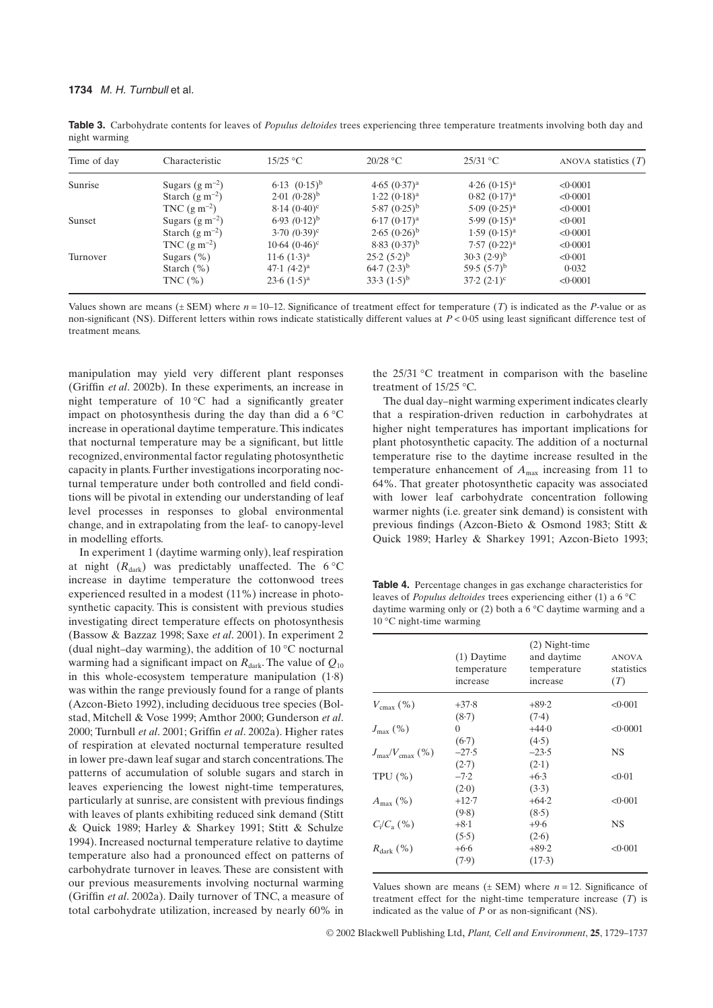| Time of day | Characteristic      | $15/25$ °C          | $20/28$ °C       | $25/31$ °C                | ANOVA statistics $(T)$ |
|-------------|---------------------|---------------------|------------------|---------------------------|------------------------|
| Sunrise     | Sugars $(g m^{-2})$ | $6.13 \ (0.15)^{b}$ | $4.65 (0.37)^a$  | $4.26 (0.15)^a$           | < 0.0001               |
|             | Starch $(g m^{-2})$ | $2.01(0.28)^{b}$    | $1.22 (0.18)^a$  | $0.82~(0.17)^{a}$         | < 0.0001               |
|             | TNC $(g m^{-2})$    | $8.14(0.40)^c$      | $5.87(0.25)^{b}$ | $5.09(0.25)$ <sup>a</sup> | < 0.0001               |
| Sunset      | Sugars $(g m^{-2})$ | $6.93 (0.12)^{b}$   | $6.17(0.17)^a$   | $5.99(0.15)^a$            | < 0.001                |
|             | Starch $(g m^{-2})$ | $3.70(0.39)^c$      | $2.65(0.26)^{b}$ | $1.59(0.15)^{a}$          | < 0.0001               |
|             | TNC $(g m^{-2})$    | $10.64~(0.46)^c$    | $8.83(0.37)^{b}$ | $7.57 (0.22)^a$           | < 0.0001               |
| Turnover    | Sugars $(\% )$      | $11.6 (1.3)^a$      | $25.2(5.2)^b$    | $(2.9)^{b}$               | < 0.001                |
|             | Starch $(\% )$      | $47.1 (4.2)^a$      | $64.7(2.3)^{b}$  | 59.5 $(5.7)^b$            | 0.032                  |
|             | TNC $(\%)$          | $23.6 (1.5)^a$      | $33.3(1.5)^{b}$  | $37.2 (2.1)^c$            | < 0.0001               |

**Table 3.** Carbohydrate contents for leaves of *Populus deltoides* trees experiencing three temperature treatments involving both day and night warming

Values shown are means  $(\pm$  SEM) where  $n = 10-12$ . Significance of treatment effect for temperature (*T*) is indicated as the *P*-value or as non-significant (NS). Different letters within rows indicate statistically different values at *P* < 0·05 using least significant difference test of treatment means.

manipulation may yield very different plant responses (Griffin *et al*. 2002b). In these experiments, an increase in night temperature of  $10^{\circ}$ C had a significantly greater impact on photosynthesis during the day than did a  $6^{\circ}$ C increase in operational daytime temperature. This indicates that nocturnal temperature may be a significant, but little recognized, environmental factor regulating photosynthetic capacity in plants. Further investigations incorporating nocturnal temperature under both controlled and field conditions will be pivotal in extending our understanding of leaf level processes in responses to global environmental change, and in extrapolating from the leaf- to canopy-level in modelling efforts.

In experiment 1 (daytime warming only), leaf respiration at night  $(R<sub>dark</sub>)$  was predictably unaffected. The 6 °C increase in daytime temperature the cottonwood trees experienced resulted in a modest (11%) increase in photosynthetic capacity. This is consistent with previous studies investigating direct temperature effects on photosynthesis (Bassow & Bazzaz 1998; Saxe *et al*. 2001). In experiment 2 (dual night–day warming), the addition of  $10^{\circ}$ C nocturnal warming had a significant impact on  $R_{dark}$ . The value of  $Q_{10}$ in this whole-ecosystem temperature manipulation (1·8) was within the range previously found for a range of plants (Azcon-Bieto 1992), including deciduous tree species (Bolstad, Mitchell & Vose 1999; Amthor 2000; Gunderson *et al*. 2000; Turnbull *et al*. 2001; Griffin *et al*. 2002a). Higher rates of respiration at elevated nocturnal temperature resulted in lower pre-dawn leaf sugar and starch concentrations. The patterns of accumulation of soluble sugars and starch in leaves experiencing the lowest night-time temperatures, particularly at sunrise, are consistent with previous findings with leaves of plants exhibiting reduced sink demand (Stitt & Quick 1989; Harley & Sharkey 1991; Stitt & Schulze 1994). Increased nocturnal temperature relative to daytime temperature also had a pronounced effect on patterns of carbohydrate turnover in leaves. These are consistent with our previous measurements involving nocturnal warming (Griffin *et al*. 2002a). Daily turnover of TNC, a measure of total carbohydrate utilization, increased by nearly 60% in the 25/31 ∞C treatment in comparison with the baseline treatment of 15/25 ∞C.

The dual day–night warming experiment indicates clearly that a respiration-driven reduction in carbohydrates at higher night temperatures has important implications for plant photosynthetic capacity. The addition of a nocturnal temperature rise to the daytime increase resulted in the temperature enhancement of  $A_{\text{max}}$  increasing from 11 to 64%. That greater photosynthetic capacity was associated with lower leaf carbohydrate concentration following warmer nights (i.e. greater sink demand) is consistent with previous findings (Azcon-Bieto & Osmond 1983; Stitt & Quick 1989; Harley & Sharkey 1991; Azcon-Bieto 1993;

**Table 4.** Percentage changes in gas exchange characteristics for leaves of *Populus deltoides* trees experiencing either (1) a 6 ∞C daytime warming only or  $(2)$  both a 6 °C daytime warming and a 10 ∞C night-time warming

|                                      | $(1)$ Daytime<br>temperature<br>increase | $(2)$ Night-time<br>and daytime<br>temperature<br>increase | <b>ANOVA</b><br>statistics<br>(T) |
|--------------------------------------|------------------------------------------|------------------------------------------------------------|-----------------------------------|
| $V_{\text{cmav}}$ (%)                | $+37.8$                                  | $+89.2$                                                    | < 0.001                           |
|                                      | (8.7)                                    | (7.4)                                                      |                                   |
| $J_{\rm max}$ (%)                    | $\Omega$                                 | $+44.0$                                                    | < 0.0001                          |
|                                      | (6.7)                                    | (4.5)                                                      |                                   |
| $J_{\text{max}}/V_{\text{cmax}}$ (%) | $-27.5$                                  | $-23.5$                                                    | NS                                |
|                                      | (2.7)                                    | (2.1)                                                      |                                   |
| TPU $(\% )$                          | $-7.2$                                   | $+6.3$                                                     | < 0.01                            |
|                                      | (2.0)                                    | (3.3)                                                      |                                   |
| $A_{\text{max}}$ (%)                 | $+12.7$                                  | $+64.2$                                                    | < 0.001                           |
|                                      | (9.8)                                    | (8.5)                                                      |                                   |
| $C_i/C_{a}$ (%)                      | $+8.1$                                   | $+9.6$                                                     | NS                                |
|                                      | (5.5)                                    | (2.6)                                                      |                                   |
| $R_{\text{dark}}$ (%)                | $+6.6$                                   | $+89.2$                                                    | < 0.001                           |
|                                      | (7.9)                                    | $(17-3)$                                                   |                                   |

Values shown are means  $(\pm$  SEM) where  $n = 12$ . Significance of treatment effect for the night-time temperature increase (*T*) is indicated as the value of *P* or as non-significant (NS).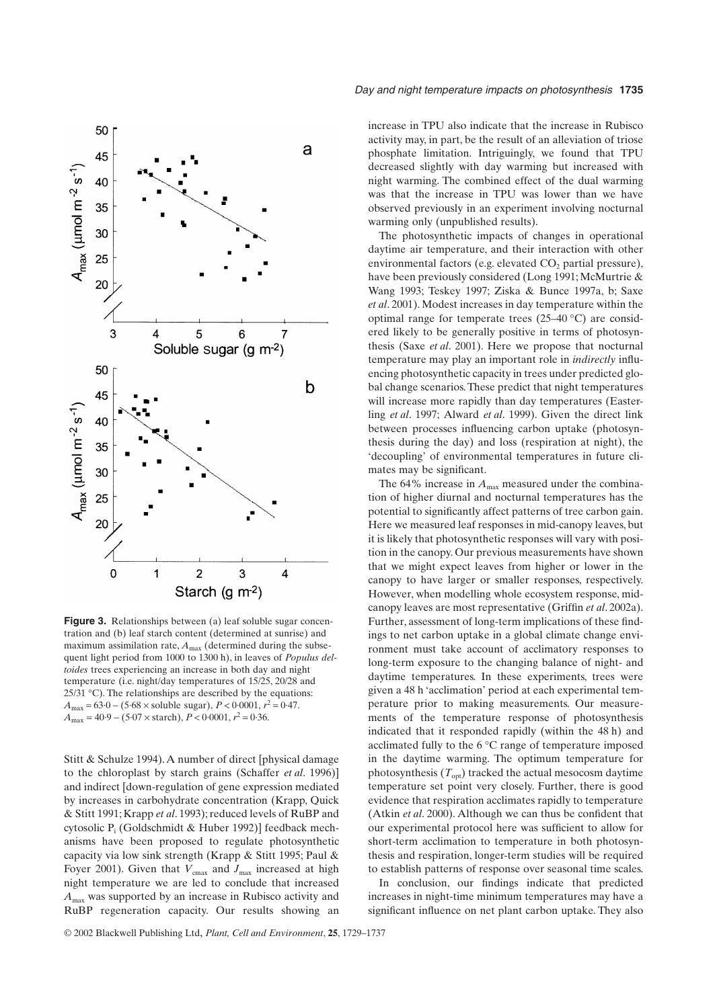

**Figure 3.** Relationships between (a) leaf soluble sugar concentration and (b) leaf starch content (determined at sunrise) and maximum assimilation rate,  $A_{\text{max}}$  (determined during the subsequent light period from 1000 to 1300 h), in leaves of *Populus deltoides* trees experiencing an increase in both day and night temperature (i.e. night/day temperatures of 15/25, 20/28 and  $25/31 \text{ °C}$ . The relationships are described by the equations:  $A_{\text{max}} = 63.0 - (5.68 \times \text{soluble sugar}), P < 0.0001, r^2 = 0.47.$  $A_{\text{max}} = 40.9 - (5.07 \times \text{starch})$ ,  $P < 0.0001$ ,  $r^2 = 0.36$ .

Stitt & Schulze 1994). A number of direct [physical damage to the chloroplast by starch grains (Schaffer *et al*. 1996)] and indirect [down-regulation of gene expression mediated by increases in carbohydrate concentration (Krapp, Quick & Stitt 1991; Krapp *et al*. 1993); reduced levels of RuBP and cytosolic P<sub>i</sub> (Goldschmidt & Huber 1992)] feedback mechanisms have been proposed to regulate photosynthetic capacity via low sink strength (Krapp & Stitt 1995; Paul & Foyer 2001). Given that  $V_{\text{cmax}}$  and  $J_{\text{max}}$  increased at high night temperature we are led to conclude that increased *A*max was supported by an increase in Rubisco activity and RuBP regeneration capacity. Our results showing an

increase in TPU also indicate that the increase in Rubisco activity may, in part, be the result of an alleviation of triose phosphate limitation. Intriguingly, we found that TPU decreased slightly with day warming but increased with night warming. The combined effect of the dual warming was that the increase in TPU was lower than we have observed previously in an experiment involving nocturnal warming only (unpublished results).

The photosynthetic impacts of changes in operational daytime air temperature, and their interaction with other environmental factors (e.g. elevated  $CO<sub>2</sub>$  partial pressure), have been previously considered (Long 1991; McMurtrie & Wang 1993; Teskey 1997; Ziska & Bunce 1997a, b; Saxe *et al*. 2001). Modest increases in day temperature within the optimal range for temperate trees  $(25-40 \degree C)$  are considered likely to be generally positive in terms of photosynthesis (Saxe *et al*. 2001). Here we propose that nocturnal temperature may play an important role in *indirectly* influencing photosynthetic capacity in trees under predicted global change scenarios. These predict that night temperatures will increase more rapidly than day temperatures (Easterling *et al*. 1997; Alward *et al*. 1999). Given the direct link between processes influencing carbon uptake (photosynthesis during the day) and loss (respiration at night), the 'decoupling' of environmental temperatures in future climates may be significant.

The 64% increase in  $A_{\text{max}}$  measured under the combination of higher diurnal and nocturnal temperatures has the potential to significantly affect patterns of tree carbon gain. Here we measured leaf responses in mid-canopy leaves, but it is likely that photosynthetic responses will vary with position in the canopy. Our previous measurements have shown that we might expect leaves from higher or lower in the canopy to have larger or smaller responses, respectively. However, when modelling whole ecosystem response, midcanopy leaves are most representative (Griffin *et al*. 2002a). Further, assessment of long-term implications of these findings to net carbon uptake in a global climate change environment must take account of acclimatory responses to long-term exposure to the changing balance of night- and daytime temperatures. In these experiments, trees were given a 48 h 'acclimation' period at each experimental temperature prior to making measurements. Our measurements of the temperature response of photosynthesis indicated that it responded rapidly (within the 48 h) and acclimated fully to the 6 ∞C range of temperature imposed in the daytime warming. The optimum temperature for photosynthesis  $(T_{opt})$  tracked the actual mesocosm daytime temperature set point very closely. Further, there is good evidence that respiration acclimates rapidly to temperature (Atkin *et al*. 2000). Although we can thus be confident that our experimental protocol here was sufficient to allow for short-term acclimation to temperature in both photosynthesis and respiration, longer-term studies will be required to establish patterns of response over seasonal time scales.

In conclusion, our findings indicate that predicted increases in night-time minimum temperatures may have a significant influence on net plant carbon uptake. They also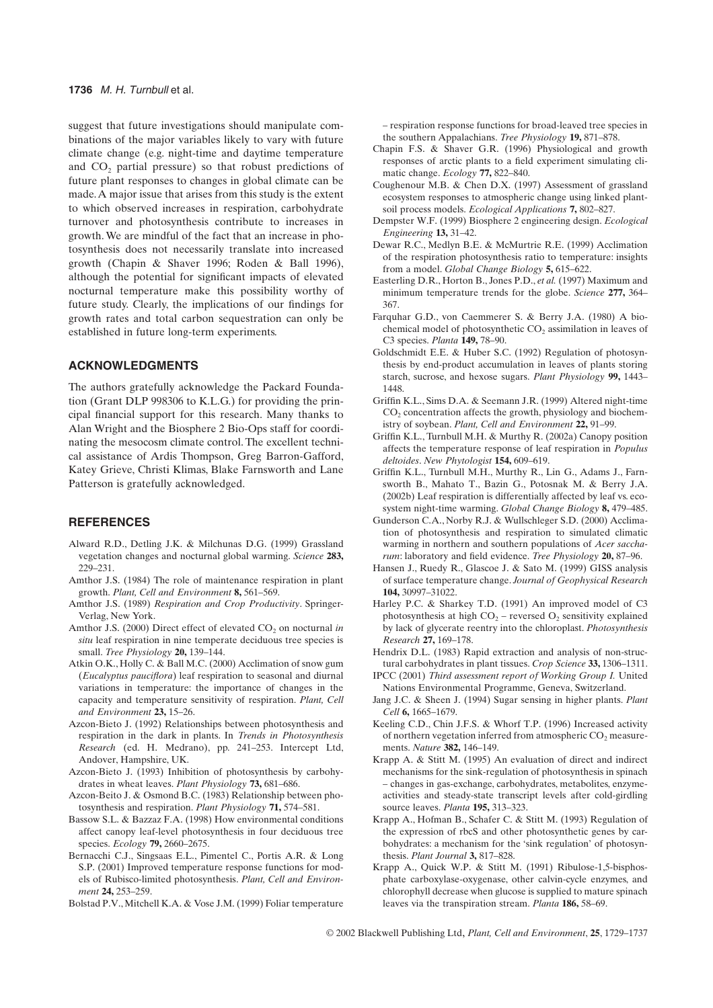suggest that future investigations should manipulate combinations of the major variables likely to vary with future climate change (e.g. night-time and daytime temperature and  $CO<sub>2</sub>$  partial pressure) so that robust predictions of future plant responses to changes in global climate can be made. A major issue that arises from this study is the extent to which observed increases in respiration, carbohydrate turnover and photosynthesis contribute to increases in growth. We are mindful of the fact that an increase in photosynthesis does not necessarily translate into increased growth (Chapin & Shaver 1996; Roden & Ball 1996), although the potential for significant impacts of elevated nocturnal temperature make this possibility worthy of future study. Clearly, the implications of our findings for growth rates and total carbon sequestration can only be established in future long-term experiments.

## **ACKNOWLEDGMENTS**

The authors gratefully acknowledge the Packard Foundation (Grant DLP 998306 to K.L.G.) for providing the principal financial support for this research. Many thanks to Alan Wright and the Biosphere 2 Bio-Ops staff for coordinating the mesocosm climate control. The excellent technical assistance of Ardis Thompson, Greg Barron-Gafford, Katey Grieve, Christi Klimas, Blake Farnsworth and Lane Patterson is gratefully acknowledged.

## **REFERENCES**

- Alward R.D., Detling J.K. & Milchunas D.G. (1999) Grassland vegetation changes and nocturnal global warming. *Science* **283,** 229–231.
- Amthor J.S. (1984) The role of maintenance respiration in plant growth. *Plant, Cell and Environment* **8,** 561–569.
- Amthor J.S. (1989) *Respiration and Crop Productivity*. Springer-Verlag, New York.
- Amthor J.S. (2000) Direct effect of elevated CO<sub>2</sub> on nocturnal *in situ* leaf respiration in nine temperate deciduous tree species is small. *Tree Physiology* **20,** 139–144.
- Atkin O.K., Holly C. & Ball M.C. (2000) Acclimation of snow gum (*Eucalyptus pauciflora*) leaf respiration to seasonal and diurnal variations in temperature: the importance of changes in the capacity and temperature sensitivity of respiration. *Plant, Cell and Environment* **23,** 15–26.
- Azcon-Bieto J. (1992) Relationships between photosynthesis and respiration in the dark in plants. In *Trends in Photosynthesis Research* (ed. H. Medrano), pp. 241–253. Intercept Ltd, Andover, Hampshire, UK.
- Azcon-Bieto J. (1993) Inhibition of photosynthesis by carbohydrates in wheat leaves. *Plant Physiology* **73,** 681–686.
- Azcon-Beito J. & Osmond B.C. (1983) Relationship between photosynthesis and respiration. *Plant Physiology* **71,** 574–581.
- Bassow S.L. & Bazzaz F.A. (1998) How environmental conditions affect canopy leaf-level photosynthesis in four deciduous tree species. *Ecology* **79,** 2660–2675.
- Bernacchi C.J., Singsaas E.L., Pimentel C., Portis A.R. & Long S.P. (2001) Improved temperature response functions for models of Rubisco-limited photosynthesis. *Plant, Cell and Environment* **24,** 253–259.

Bolstad P.V., Mitchell K.A. & Vose J.M. (1999) Foliar temperature

– respiration response functions for broad-leaved tree species in the southern Appalachians. *Tree Physiology* **19,** 871–878.

- Chapin F.S. & Shaver G.R. (1996) Physiological and growth responses of arctic plants to a field experiment simulating climatic change. *Ecology* **77,** 822–840.
- Coughenour M.B. & Chen D.X. (1997) Assessment of grassland ecosystem responses to atmospheric change using linked plantsoil process models. *Ecological Applications* **7,** 802–827.
- Dempster W.F. (1999) Biosphere 2 engineering design. *Ecological Engineering* **13,** 31–42.
- Dewar R.C., Medlyn B.E. & McMurtrie R.E. (1999) Acclimation of the respiration photosynthesis ratio to temperature: insights from a model. *Global Change Biology* **5,** 615–622.
- Easterling D.R., Horton B., Jones P.D., *et al.* (1997) Maximum and minimum temperature trends for the globe. *Science* **277,** 364– 367.
- Farquhar G.D., von Caemmerer S. & Berry J.A. (1980) A biochemical model of photosynthetic CO<sub>2</sub> assimilation in leaves of C3 species. *Planta* **149,** 78–90.
- Goldschmidt E.E. & Huber S.C. (1992) Regulation of photosynthesis by end-product accumulation in leaves of plants storing starch, sucrose, and hexose sugars. *Plant Physiology* **99,** 1443– 1448.
- Griffin K.L., Sims D.A. & Seemann J.R. (1999) Altered night-time  $CO<sub>2</sub>$  concentration affects the growth, physiology and biochemistry of soybean. *Plant, Cell and Environment* **22,** 91–99.
- Griffin K.L., Turnbull M.H. & Murthy R. (2002a) Canopy position affects the temperature response of leaf respiration in *Populus deltoides*. *New Phytologist* **154,** 609–619.
- Griffin K.L., Turnbull M.H., Murthy R., Lin G., Adams J., Farnsworth B., Mahato T., Bazin G., Potosnak M. & Berry J.A. (2002b) Leaf respiration is differentially affected by leaf vs. ecosystem night-time warming. *Global Change Biology* **8,** 479–485.
- Gunderson C.A., Norby R.J. & Wullschleger S.D. (2000) Acclimation of photosynthesis and respiration to simulated climatic warming in northern and southern populations of *Acer saccharum*: laboratory and field evidence. *Tree Physiology* **20,** 87–96.
- Hansen J., Ruedy R., Glascoe J. & Sato M. (1999) GISS analysis of surface temperature change. *Journal of Geophysical Research* **104,** 30997–31022.
- Harley P.C. & Sharkey T.D. (1991) An improved model of C3 photosynthesis at high  $CO<sub>2</sub>$  – reversed  $O<sub>2</sub>$  sensitivity explained by lack of glycerate reentry into the chloroplast. *Photosynthesis Research* **27,** 169–178.
- Hendrix D.L. (1983) Rapid extraction and analysis of non-structural carbohydrates in plant tissues. *Crop Science* **33,** 1306–1311.
- IPCC (2001) *Third assessment report of Working Group I.* United Nations Environmental Programme, Geneva, Switzerland.
- Jang J.C. & Sheen J. (1994) Sugar sensing in higher plants. *Plant Cell* **6,** 1665–1679.
- Keeling C.D., Chin J.F.S. & Whorf T.P. (1996) Increased activity of northern vegetation inferred from atmospheric  $CO<sub>2</sub>$  measurements. *Nature* **382,** 146–149.
- Krapp A. & Stitt M. (1995) An evaluation of direct and indirect mechanisms for the sink-regulation of photosynthesis in spinach – changes in gas-exchange, carbohydrates, metabolites, enzymeactivities and steady-state transcript levels after cold-girdling source leaves. *Planta* **195,** 313–323.
- Krapp A., Hofman B., Schafer C. & Stitt M. (1993) Regulation of the expression of rbcS and other photosynthetic genes by carbohydrates: a mechanism for the 'sink regulation' of photosynthesis. *Plant Journal* **3,** 817–828.
- Krapp A., Quick W.P. & Stitt M. (1991) Ribulose-1,5-bisphosphate carboxylase-oxygenase, other calvin-cycle enzymes, and chlorophyll decrease when glucose is supplied to mature spinach leaves via the transpiration stream. *Planta* **186,** 58–69.